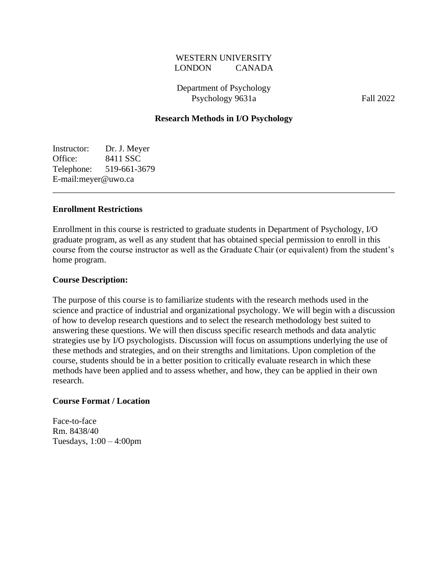# WESTERN UNIVERSITY LONDON CANADA

Department of Psychology Psychology 9631a Fall 2022

## **Research Methods in I/O Psychology**

Instructor: Dr. J. Meyer Office: 8411 SSC Telephone: 519-661-3679 E-mail:meyer@uwo.ca

# **Enrollment Restrictions**

Enrollment in this course is restricted to graduate students in Department of Psychology, I/O graduate program, as well as any student that has obtained special permission to enroll in this course from the course instructor as well as the Graduate Chair (or equivalent) from the student's home program.

\_\_\_\_\_\_\_\_\_\_\_\_\_\_\_\_\_\_\_\_\_\_\_\_\_\_\_\_\_\_\_\_\_\_\_\_\_\_\_\_\_\_\_\_\_\_\_\_\_\_\_\_\_\_\_\_\_\_\_\_\_\_\_\_\_\_\_\_\_\_\_\_\_\_\_\_\_\_

## **Course Description:**

The purpose of this course is to familiarize students with the research methods used in the science and practice of industrial and organizational psychology. We will begin with a discussion of how to develop research questions and to select the research methodology best suited to answering these questions. We will then discuss specific research methods and data analytic strategies use by I/O psychologists. Discussion will focus on assumptions underlying the use of these methods and strategies, and on their strengths and limitations. Upon completion of the course, students should be in a better position to critically evaluate research in which these methods have been applied and to assess whether, and how, they can be applied in their own research.

## **Course Format / Location**

Face-to-face Rm. 8438/40 Tuesdays, 1:00 – 4:00pm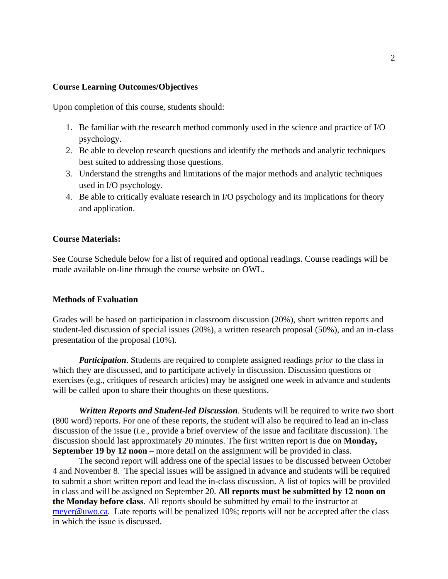#### **Course Learning Outcomes/Objectives**

Upon completion of this course, students should:

- 1. Be familiar with the research method commonly used in the science and practice of I/O psychology.
- 2. Be able to develop research questions and identify the methods and analytic techniques best suited to addressing those questions.
- 3. Understand the strengths and limitations of the major methods and analytic techniques used in I/O psychology.
- 4. Be able to critically evaluate research in I/O psychology and its implications for theory and application.

## **Course Materials:**

See Course Schedule below for a list of required and optional readings. Course readings will be made available on-line through the course website on OWL.

#### **Methods of Evaluation**

Grades will be based on participation in classroom discussion (20%), short written reports and student-led discussion of special issues (20%), a written research proposal (50%), and an in-class presentation of the proposal (10%).

*Participation*. Students are required to complete assigned readings *prior to* the class in which they are discussed, and to participate actively in discussion. Discussion questions or exercises (e.g., critiques of research articles) may be assigned one week in advance and students will be called upon to share their thoughts on these questions.

*Written Reports and Student-led Discussion*. Students will be required to write *two* short (800 word) reports. For one of these reports, the student will also be required to lead an in-class discussion of the issue (i.e., provide a brief overview of the issue and facilitate discussion). The discussion should last approximately 20 minutes. The first written report is due on **Monday, September 19 by 12 noon** – more detail on the assignment will be provided in class.

The second report will address one of the special issues to be discussed between October 4 and November 8. The special issues will be assigned in advance and students will be required to submit a short written report and lead the in-class discussion. A list of topics will be provided in class and will be assigned on September 20. **All reports must be submitted by 12 noon on the Monday before class**. All reports should be submitted by email to the instructor at [meyer@uwo.ca.](mailto:meyer@uwo.ca) Late reports will be penalized 10%; reports will not be accepted after the class in which the issue is discussed.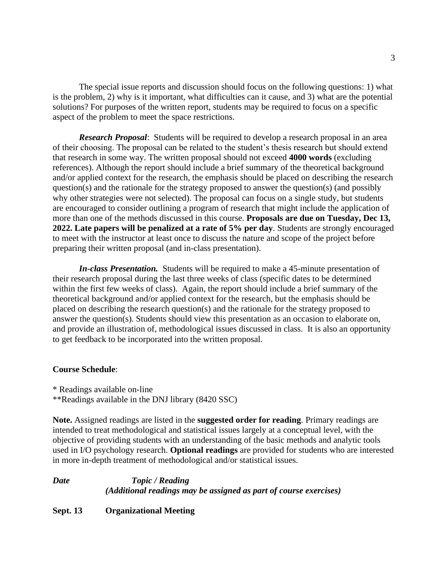The special issue reports and discussion should focus on the following questions: 1) what is the problem, 2) why is it important, what difficulties can it cause, and 3) what are the potential solutions? For purposes of the written report, students may be required to focus on a specific aspect of the problem to meet the space restrictions.

*Research Proposal*: Students will be required to develop a research proposal in an area of their choosing. The proposal can be related to the student's thesis research but should extend that research in some way. The written proposal should not exceed **4000 words** (excluding references). Although the report should include a brief summary of the theoretical background and/or applied context for the research, the emphasis should be placed on describing the research question(s) and the rationale for the strategy proposed to answer the question(s) (and possibly why other strategies were not selected). The proposal can focus on a single study, but students are encouraged to consider outlining a program of research that might include the application of more than one of the methods discussed in this course. **Proposals are due on Tuesday, Dec 13, 2022. Late papers will be penalized at a rate of 5% per day**. Students are strongly encouraged to meet with the instructor at least once to discuss the nature and scope of the project before preparing their written proposal (and in-class presentation).

*In-class Presentation.* Students will be required to make a 45-minute presentation of their research proposal during the last three weeks of class (specific dates to be determined within the first few weeks of class). Again, the report should include a brief summary of the theoretical background and/or applied context for the research, but the emphasis should be placed on describing the research question(s) and the rationale for the strategy proposed to answer the question(s). Students should view this presentation as an occasion to elaborate on, and provide an illustration of, methodological issues discussed in class. It is also an opportunity to get feedback to be incorporated into the written proposal.

## **Course Schedule**:

\* Readings available on-line \*\*Readings available in the DNJ library (8420 SSC)

**Note.** Assigned readings are listed in the **suggested order for reading**. Primary readings are intended to treat methodological and statistical issues largely at a conceptual level, with the objective of providing students with an understanding of the basic methods and analytic tools used in I/O psychology research. **Optional readings** are provided for students who are interested in more in-depth treatment of methodological and/or statistical issues.

# *Date Topic / Reading (Additional readings may be assigned as part of course exercises)* **Sept. 13 Organizational Meeting**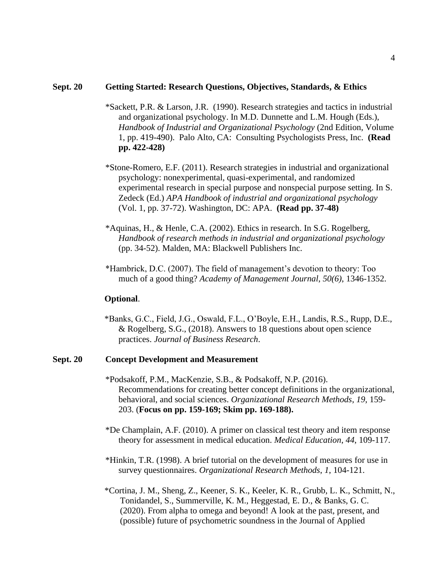#### **Sept. 20 Getting Started: Research Questions, Objectives, Standards, & Ethics**

- \*Sackett, P.R. & Larson, J.R. (1990). Research strategies and tactics in industrial and organizational psychology. In M.D. Dunnette and L.M. Hough (Eds.), *Handbook of Industrial and Organizational Psychology* (2nd Edition, Volume 1, pp. 419-490). Palo Alto, CA: Consulting Psychologists Press, Inc. **(Read pp. 422-428)**
- \*Stone-Romero, E.F. (2011). Research strategies in industrial and organizational psychology: nonexperimental, quasi-experimental, and randomized experimental research in special purpose and nonspecial purpose setting. In S. Zedeck (Ed.) *APA Handbook of industrial and organizational psychology*  (Vol. 1, pp. 37-72). Washington, DC: APA. **(Read pp. 37-48)**
- \*Aquinas, H., & Henle, C.A. (2002). Ethics in research. In S.G. Rogelberg, *Handbook of research methods in industrial and organizational psychology*  (pp. 34-52). Malden, MA: Blackwell Publishers Inc.
- \*Hambrick, D.C. (2007). The field of management's devotion to theory: Too much of a good thing? *Academy of Management Journal*, *50(6)*, 1346-1352.

#### **Optional**.

\*Banks, G.C., Field, J.G., Oswald, F.L., O'Boyle, E.H., Landis, R.S., Rupp, D.E., & Rogelberg, S.G., (2018). Answers to 18 questions about open science practices. *Journal of Business Research*.

#### **Sept. 20 Concept Development and Measurement**

- \*Podsakoff, P.M., MacKenzie, S.B., & Podsakoff, N.P. (2016). Recommendations for creating better concept definitions in the organizational, behavioral, and social sciences. *Organizational Research Methods*, *19*, 159- 203. (**Focus on pp. 159-169; Skim pp. 169-188).**
- \*De Champlain, A.F. (2010). A primer on classical test theory and item response theory for assessment in medical education. *Medical Education*, *44*, 109-117.
- \*Hinkin, T.R. (1998). A brief tutorial on the development of measures for use in survey questionnaires. *Organizational Research Methods*, *1*, 104-121.
- \*Cortina, J. M., Sheng, Z., Keener, S. K., Keeler, K. R., Grubb, L. K., Schmitt, N., Tonidandel, S., Summerville, K. M., Heggestad, E. D., & Banks, G. C. (2020). From alpha to omega and beyond! A look at the past, present, and (possible) future of psychometric soundness in the Journal of Applied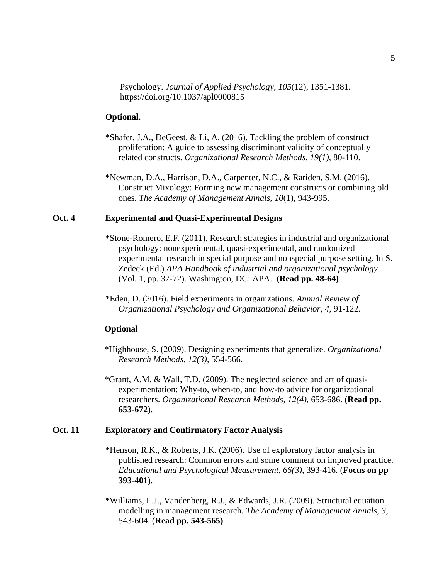Psychology. *Journal of Applied Psychology*, *105*(12), 1351-1381. https://doi.org/10.1037/apl0000815

## **Optional.**

- \*Shafer, J.A., DeGeest, & Li, A. (2016). Tackling the problem of construct proliferation: A guide to assessing discriminant validity of conceptually related constructs. *Organizational Research Methods*, *19(1)*, 80-110.
- \*Newman, D.A., Harrison, D.A., Carpenter, N.C., & Rariden, S.M. (2016). Construct Mixology: Forming new management constructs or combining old ones. *The Academy of Management Annals*, *10*(1), 943-995.

#### **Oct. 4 Experimental and Quasi-Experimental Designs**

- \*Stone-Romero, E.F. (2011). Research strategies in industrial and organizational psychology: nonexperimental, quasi-experimental, and randomized experimental research in special purpose and nonspecial purpose setting. In S. Zedeck (Ed.) *APA Handbook of industrial and organizational psychology*  (Vol. 1, pp. 37-72). Washington, DC: APA. **(Read pp. 48-64)**
- \*Eden, D. (2016). Field experiments in organizations. *Annual Review of Organizational Psychology and Organizational Behavior*, *4*, 91-122.

#### **Optional**

- \*Highhouse, S. (2009). Designing experiments that generalize. *Organizational Research Methods*, *12(3)*, 554-566.
- \*Grant, A.M. & Wall, T.D. (2009). The neglected science and art of quasiexperimentation: Why-to, when-to, and how-to advice for organizational researchers. *Organizational Research Methods*, *12(4)*, 653-686. (**Read pp. 653-672**).

## **Oct. 11 Exploratory and Confirmatory Factor Analysis**

- \*Henson, R.K., & Roberts, J.K. (2006). Use of exploratory factor analysis in published research: Common errors and some comment on improved practice. *Educational and Psychological Measurement*, *66(3)*, 393-416. (**Focus on pp 393-401**).
- \*Williams, L.J., Vandenberg, R.J., & Edwards, J.R. (2009). Structural equation modelling in management research. *The Academy of Management Annals*, *3*, 543-604. (**Read pp. 543-565)**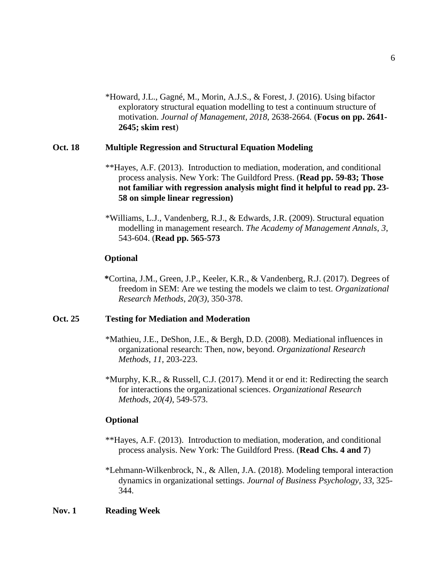\*Howard, J.L., Gagné, M., Morin, A.J.S., & Forest, J. (2016). Using bifactor exploratory structural equation modelling to test a continuum structure of motivation. *Journal of Management*, *2018*, 2638-2664*.* (**Focus on pp. 2641- 2645; skim rest**)

#### **Oct. 18 Multiple Regression and Structural Equation Modeling**

- \*\*Hayes, A.F. (2013). Introduction to mediation, moderation, and conditional process analysis. New York: The Guildford Press. (**Read pp. 59-83; Those not familiar with regression analysis might find it helpful to read pp. 23- 58 on simple linear regression)**
- \*Williams, L.J., Vandenberg, R.J., & Edwards, J.R. (2009). Structural equation modelling in management research. *The Academy of Management Annals*, *3*, 543-604. (**Read pp. 565-573**

#### **Optional**

**\***Cortina, J.M., Green, J.P., Keeler, K.R., & Vandenberg, R.J. (2017). Degrees of freedom in SEM: Are we testing the models we claim to test. *Organizational Research Methods*, *20(3)*, 350-378.

# **Oct. 25 Testing for Mediation and Moderation**

- \*Mathieu, J.E., DeShon, J.E., & Bergh, D.D. (2008). Mediational influences in organizational research: Then, now, beyond. *Organizational Research Methods*, *11*, 203-223.
- \*Murphy, K.R., & Russell, C.J. (2017). Mend it or end it: Redirecting the search for interactions the organizational sciences. *Organizational Research Methods*, *20(4)*, 549-573.

## **Optional**

- \*\*Hayes, A.F. (2013). Introduction to mediation, moderation, and conditional process analysis. New York: The Guildford Press. (**Read Chs. 4 and 7**)
- \*Lehmann-Wilkenbrock, N., & Allen, J.A. (2018). Modeling temporal interaction dynamics in organizational settings. *Journal of Business Psychology*, *33*, 325- 344.

# **Nov. 1 Reading Week**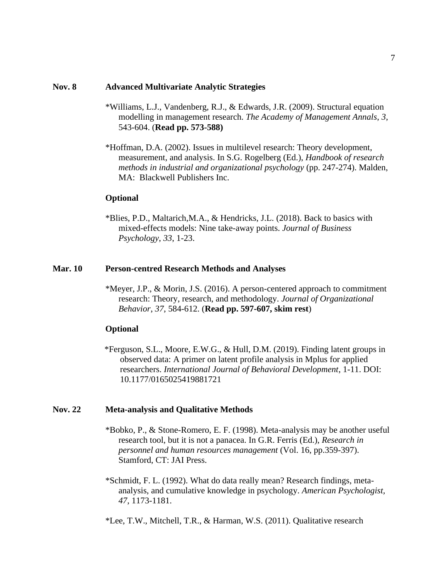#### **Nov. 8 Advanced Multivariate Analytic Strategies**

- \*Williams, L.J., Vandenberg, R.J., & Edwards, J.R. (2009). Structural equation modelling in management research. *The Academy of Management Annals*, *3*, 543-604. (**Read pp. 573-588)**
- \*Hoffman, D.A. (2002). Issues in multilevel research: Theory development, measurement, and analysis. In S.G. Rogelberg (Ed.), *Handbook of research methods in industrial and organizational psychology* (pp. 247-274). Malden, MA: Blackwell Publishers Inc.

#### **Optional**

\*Blies, P.D., Maltarich,M.A., & Hendricks, J.L. (2018). Back to basics with mixed-effects models: Nine take-away points. *Journal of Business Psychology*, *33*, 1-23.

#### **Mar. 10 Person-centred Research Methods and Analyses**

\*Meyer, J.P., & Morin, J.S. (2016). A person-centered approach to commitment research: Theory, research, and methodology. *Journal of Organizational Behavior*, *37*, 584-612. (**Read pp. 597-607, skim rest**)

#### **Optional**

\*Ferguson, S.L., Moore, E.W.G., & Hull, D.M. (2019). Finding latent groups in observed data: A primer on latent profile analysis in Mplus for applied researchers. *International Journal of Behavioral Development*, 1-11. DOI: 10.1177/0165025419881721

## **Nov. 22 Meta-analysis and Qualitative Methods**

- \*Bobko, P., & Stone-Romero, E. F. (1998). Meta-analysis may be another useful research tool, but it is not a panacea. In G.R. Ferris (Ed.), *Research in personnel and human resources management* (Vol. 16, pp.359-397). Stamford, CT: JAI Press.
- \*Schmidt, F. L. (1992). What do data really mean? Research findings, metaanalysis, and cumulative knowledge in psychology. *American Psychologist, 47*, 1173-1181.

\*Lee, T.W., Mitchell, T.R., & Harman, W.S. (2011). Qualitative research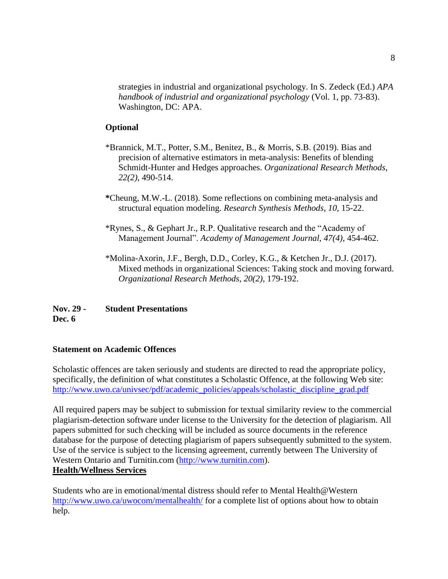strategies in industrial and organizational psychology. In S. Zedeck (Ed.) *APA handbook of industrial and organizational psychology* (Vol. 1, pp. 73-83). Washington, DC: APA.

# **Optional**

- \*Brannick, M.T., Potter, S.M., Benitez, B., & Morris, S.B. (2019). Bias and precision of alternative estimators in meta-analysis: Benefits of blending Schmidt-Hunter and Hedges approaches. *Organizational Research Methods*, *22(2)*, 490-514.
- **\***Cheung, M.W.-L. (2018). Some reflections on combining meta-analysis and structural equation modeling. *Research Synthesis Methods*, *10*, 15-22.
- \*Rynes, S., & Gephart Jr., R.P. Qualitative research and the "Academy of Management Journal". *Academy of Management Journal*, *47(4)*, 454-462.
- \*Molina-Axorin, J.F., Bergh, D.D., Corley, K.G., & Ketchen Jr., D.J. (2017). Mixed methods in organizational Sciences: Taking stock and moving forward. *Organizational Research Methods*, *20(2)*, 179-192.

**Nov. 29 - Student Presentations Dec. 6**

# **Statement on Academic Offences**

Scholastic offences are taken seriously and students are directed to read the appropriate policy, specifically, the definition of what constitutes a Scholastic Offence, at the following Web site: [http://www.uwo.ca/univsec/pdf/academic\\_policies/appeals/scholastic\\_discipline\\_grad.pdf](http://www.uwo.ca/univsec/pdf/academic_policies/appeals/scholastic_discipline_grad.pdf)

All required papers may be subject to submission for textual similarity review to the commercial plagiarism-detection software under license to the University for the detection of plagiarism. All papers submitted for such checking will be included as source documents in the reference database for the purpose of detecting plagiarism of papers subsequently submitted to the system. Use of the service is subject to the licensing agreement, currently between The University of Western Ontario and Turnitin.com [\(http://www.turnitin.com\)](http://www.turnitin.com/). **Health/Wellness Services**

Students who are in emotional/mental distress should refer to Mental Health@Western <http://www.uwo.ca/uwocom/mentalhealth/> for a complete list of options about how to obtain help.